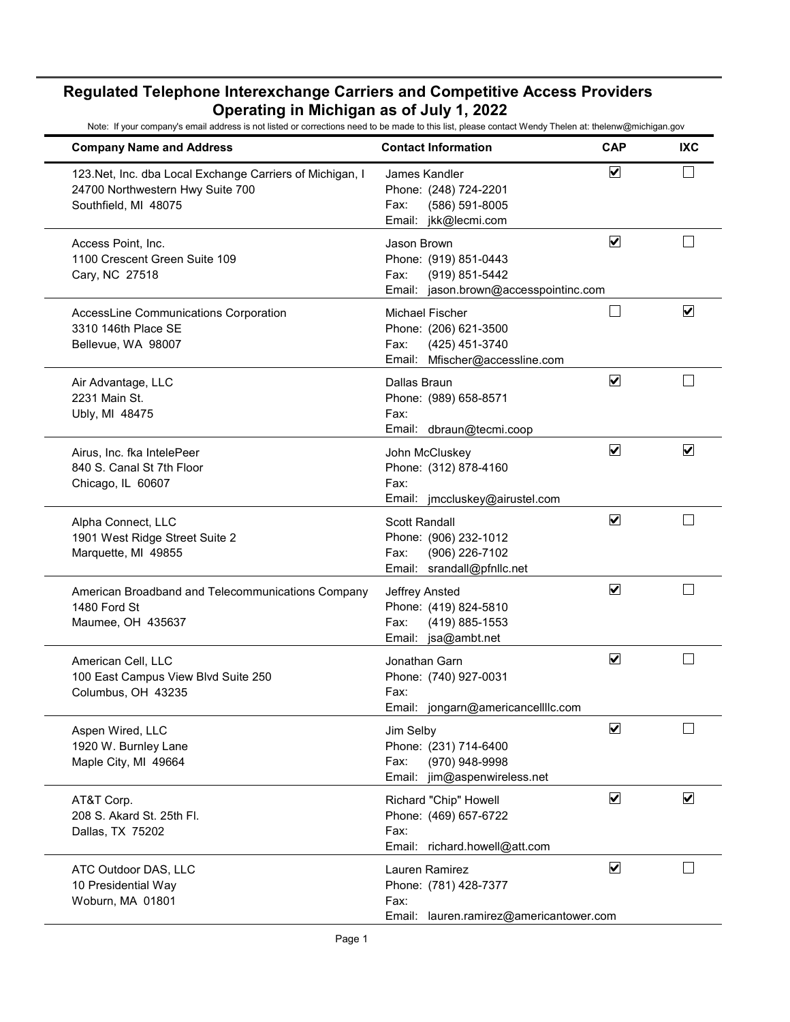| <b>Company Name and Address</b>                                                                                       | <b>Contact Information</b>                                                                                  | <b>CAP</b>                      | <b>IXC</b>              |
|-----------------------------------------------------------------------------------------------------------------------|-------------------------------------------------------------------------------------------------------------|---------------------------------|-------------------------|
| 123. Net, Inc. dba Local Exchange Carriers of Michigan, I<br>24700 Northwestern Hwy Suite 700<br>Southfield, MI 48075 | James Kandler<br>Phone: (248) 724-2201<br>(586) 591-8005<br>Fax:<br>Email: jkk@lecmi.com                    | $\blacktriangledown$            |                         |
| Access Point, Inc.<br>1100 Crescent Green Suite 109<br>Cary, NC 27518                                                 | Jason Brown<br>Phone: (919) 851-0443<br>(919) 851-5442<br>Fax:<br>Email: jason.brown@accesspointinc.com     | $\blacktriangledown$            |                         |
| AccessLine Communications Corporation<br>3310 146th Place SE<br>Bellevue, WA 98007                                    | <b>Michael Fischer</b><br>Phone: (206) 621-3500<br>(425) 451-3740<br>Fax:<br>Email: Mfischer@accessline.com |                                 | $\overline{\mathbf{v}}$ |
| Air Advantage, LLC<br>2231 Main St.<br>Ubly, MI 48475                                                                 | Dallas Braun<br>Phone: (989) 658-8571<br>Fax:<br>Email: dbraun@tecmi.coop                                   | $\overline{\blacktriangledown}$ |                         |
| Airus, Inc. fka IntelePeer<br>840 S. Canal St 7th Floor<br>Chicago, IL 60607                                          | John McCluskey<br>Phone: (312) 878-4160<br>Fax:<br>jmccluskey@airustel.com<br>Email:                        | $\blacktriangledown$            | $\blacktriangledown$    |
| Alpha Connect, LLC<br>1901 West Ridge Street Suite 2<br>Marquette, MI 49855                                           | <b>Scott Randall</b><br>Phone: (906) 232-1012<br>(906) 226-7102<br>Fax:<br>Email: srandall@pfnllc.net       | $\blacktriangledown$            |                         |
| American Broadband and Telecommunications Company<br>1480 Ford St<br>Maumee, OH 435637                                | Jeffrey Ansted<br>Phone: (419) 824-5810<br>(419) 885-1553<br>Fax:<br>Email: jsa@ambt.net                    | $\blacktriangledown$            |                         |
| American Cell, LLC<br>100 East Campus View Blvd Suite 250<br>Columbus, OH 43235                                       | Jonathan Garn<br>Phone: (740) 927-0031<br>Fax:<br>jongarn@americancellllc.com<br>Email:                     | $\overline{\mathbf{v}}$         |                         |
| Aspen Wired, LLC<br>1920 W. Burnley Lane<br>Maple City, MI 49664                                                      | Jim Selby<br>Phone: (231) 714-6400<br>Fax:<br>(970) 948-9998<br>Email:<br>jim@aspenwireless.net             | $\overline{\mathbf{v}}$         |                         |
| AT&T Corp.<br>208 S. Akard St. 25th Fl.<br>Dallas, TX 75202                                                           | Richard "Chip" Howell<br>Phone: (469) 657-6722<br>Fax:<br>Email: richard.howell@att.com                     | $\overline{\mathbf{v}}$         | $\blacktriangledown$    |
| ATC Outdoor DAS, LLC<br>10 Presidential Way<br>Woburn, MA 01801                                                       | Lauren Ramirez<br>Phone: (781) 428-7377<br>Fax:<br>Email:<br>lauren.ramirez@americantower.com               | $\overline{\mathbf{v}}$         |                         |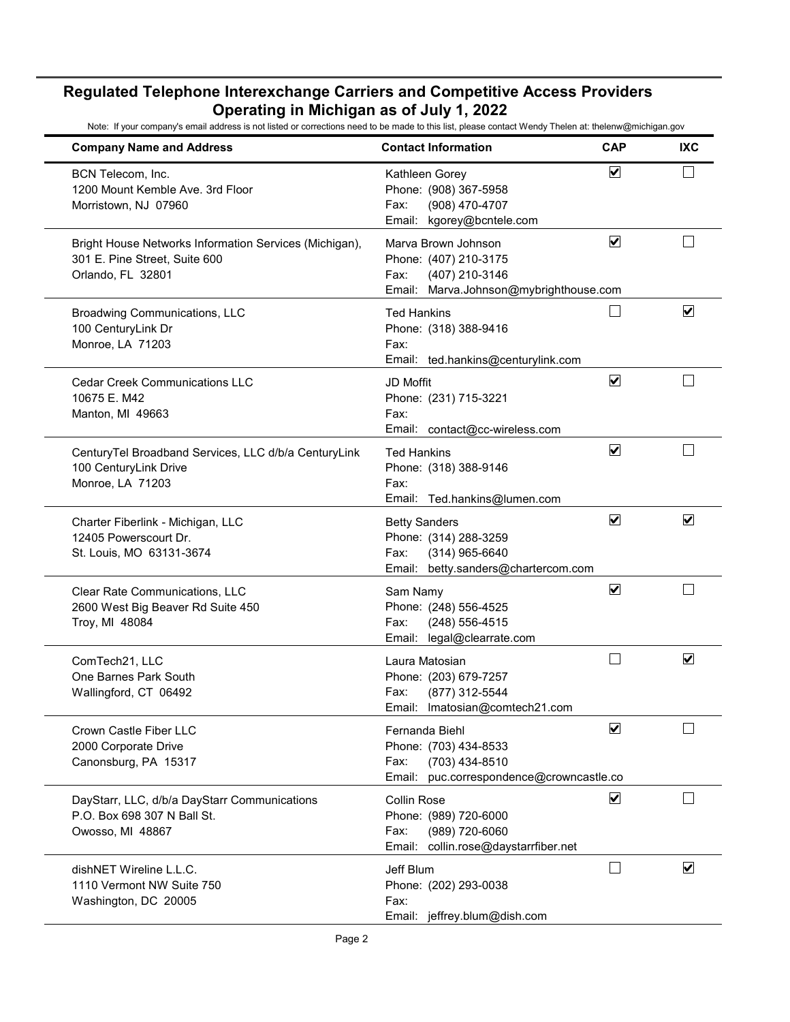| <b>Company Name and Address</b>                                                                              | <b>Contact Information</b>                                                                                       | <b>CAP</b>                      | <b>IXC</b>              |
|--------------------------------------------------------------------------------------------------------------|------------------------------------------------------------------------------------------------------------------|---------------------------------|-------------------------|
| BCN Telecom, Inc.<br>1200 Mount Kemble Ave. 3rd Floor<br>Morristown, NJ 07960                                | Kathleen Gorey<br>Phone: (908) 367-5958<br>(908) 470-4707<br>Fax:<br>kgorey@bcntele.com<br>Email:                | $\blacktriangledown$            |                         |
| Bright House Networks Information Services (Michigan),<br>301 E. Pine Street, Suite 600<br>Orlando, FL 32801 | Marva Brown Johnson<br>Phone: (407) 210-3175<br>(407) 210-3146<br>Fax:<br>Email: Marva.Johnson@mybrighthouse.com | $\blacktriangledown$            |                         |
| Broadwing Communications, LLC<br>100 CenturyLink Dr<br>Monroe, LA 71203                                      | <b>Ted Hankins</b><br>Phone: (318) 388-9416<br>Fax:<br>Email: ted.hankins@centurylink.com                        |                                 | ☑                       |
| <b>Cedar Creek Communications LLC</b><br>10675 E. M42<br>Manton, MI 49663                                    | JD Moffit<br>Phone: (231) 715-3221<br>Fax:<br>Email: contact@cc-wireless.com                                     | $\overline{\blacktriangledown}$ |                         |
| CenturyTel Broadband Services, LLC d/b/a CenturyLink<br>100 CenturyLink Drive<br>Monroe, LA 71203            | <b>Ted Hankins</b><br>Phone: (318) 388-9146<br>Fax:<br>Email: Ted.hankins@lumen.com                              | $\blacktriangledown$            |                         |
| Charter Fiberlink - Michigan, LLC<br>12405 Powerscourt Dr.<br>St. Louis, MO 63131-3674                       | <b>Betty Sanders</b><br>Phone: (314) 288-3259<br>(314) 965-6640<br>Fax:<br>Email: betty.sanders@chartercom.com   | $\blacktriangledown$            | $\blacktriangledown$    |
| Clear Rate Communications, LLC<br>2600 West Big Beaver Rd Suite 450<br>Troy, MI 48084                        | Sam Namy<br>Phone: (248) 556-4525<br>(248) 556-4515<br>Fax:<br>legal@clearrate.com<br>Email:                     | $\blacktriangledown$            |                         |
| ComTech21, LLC<br>One Barnes Park South<br>Wallingford, CT 06492                                             | Laura Matosian<br>Phone: (203) 679-7257<br>(877) 312-5544<br>Fax:<br>Email: Imatosian@comtech21.com              |                                 | $\overline{\mathbf{v}}$ |
| Crown Castle Fiber LLC<br>2000 Corporate Drive<br>Canonsburg, PA 15317                                       | Fernanda Biehl<br>Phone: (703) 434-8533<br>(703) 434-8510<br>Fax:<br>Email: puc.correspondence@crowncastle.co    | $\blacktriangledown$            |                         |
| DayStarr, LLC, d/b/a DayStarr Communications<br>P.O. Box 698 307 N Ball St.<br>Owosso, MI 48867              | <b>Collin Rose</b><br>Phone: (989) 720-6000<br>(989) 720-6060<br>Fax:<br>Email: collin.rose@daystarrfiber.net    | ☑                               |                         |
| dishNET Wireline L.L.C.<br>1110 Vermont NW Suite 750<br>Washington, DC 20005                                 | Jeff Blum<br>Phone: (202) 293-0038<br>Fax:<br>Email: jeffrey.blum@dish.com                                       |                                 | $\overline{\mathbf{v}}$ |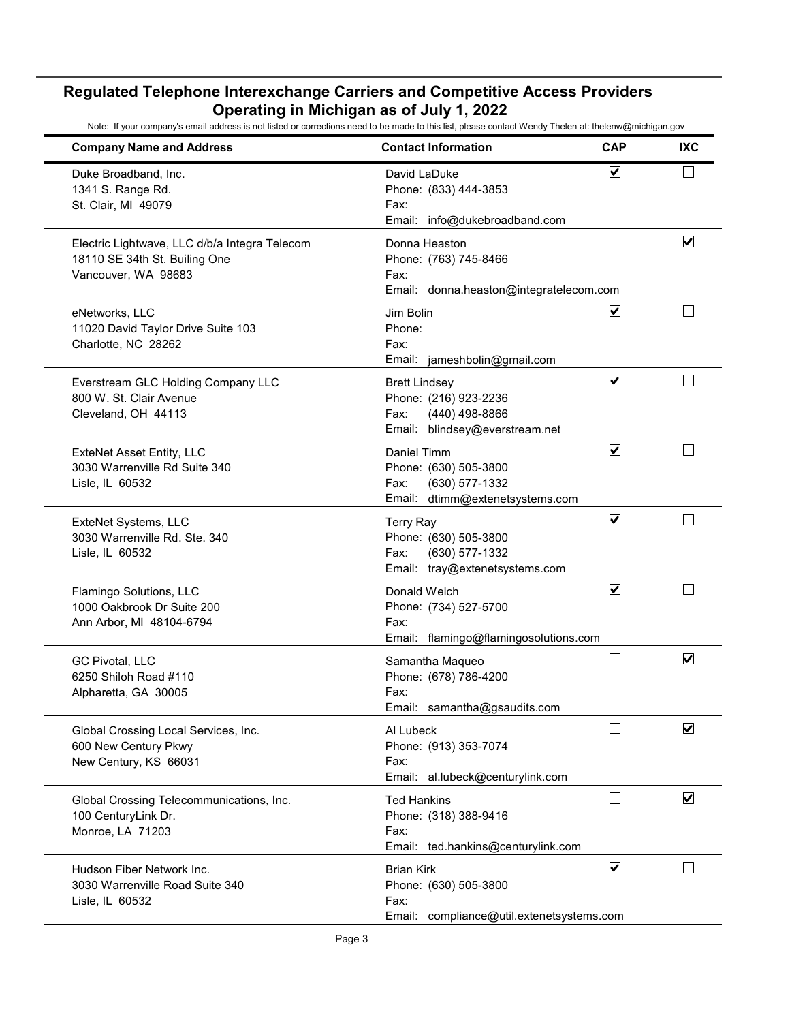| <b>Company Name and Address</b>                                                                       | <b>Contact Information</b>                                                                                   | <b>CAP</b>              | IXC                     |
|-------------------------------------------------------------------------------------------------------|--------------------------------------------------------------------------------------------------------------|-------------------------|-------------------------|
| Duke Broadband, Inc.<br>1341 S. Range Rd.<br>St. Clair, MI 49079                                      | David LaDuke<br>Phone: (833) 444-3853<br>Fax:<br>Email: info@dukebroadband.com                               | $\blacktriangledown$    |                         |
| Electric Lightwave, LLC d/b/a Integra Telecom<br>18110 SE 34th St. Builing One<br>Vancouver, WA 98683 | Donna Heaston<br>Phone: (763) 745-8466<br>Fax:<br>Email: donna.heaston@integratelecom.com                    | $\mathcal{L}$           | $\blacktriangledown$    |
| eNetworks, LLC<br>11020 David Taylor Drive Suite 103<br>Charlotte, NC 28262                           | Jim Bolin<br>Phone:<br>Fax:<br>Email: jameshbolin@gmail.com                                                  | ☑                       |                         |
| Everstream GLC Holding Company LLC<br>800 W. St. Clair Avenue<br>Cleveland, OH 44113                  | <b>Brett Lindsey</b><br>Phone: (216) 923-2236<br>(440) 498-8866<br>Fax:<br>blindsey@everstream.net<br>Email: | $\overline{\mathbf{v}}$ |                         |
| <b>ExteNet Asset Entity, LLC</b><br>3030 Warrenville Rd Suite 340<br>Lisle, IL 60532                  | Daniel Timm<br>Phone: (630) 505-3800<br>(630) 577-1332<br>Fax:<br>Email: dtimm@extenetsystems.com            | $\blacktriangledown$    |                         |
| ExteNet Systems, LLC<br>3030 Warrenville Rd. Ste. 340<br>Lisle, IL 60532                              | <b>Terry Ray</b><br>Phone: (630) 505-3800<br>(630) 577-1332<br>Fax:<br>Email: tray@extenetsystems.com        | $\overline{\mathbf{v}}$ |                         |
| Flamingo Solutions, LLC<br>1000 Oakbrook Dr Suite 200<br>Ann Arbor, MI 48104-6794                     | Donald Welch<br>Phone: (734) 527-5700<br>Fax:<br>Email: flamingo@flamingosolutions.com                       | $\overline{\mathbf{v}}$ |                         |
| GC Pivotal, LLC<br>6250 Shiloh Road #110<br>Alpharetta, GA 30005                                      | Samantha Maqueo<br>Phone: (678) 786-4200<br>Fax:<br>Email: samantha@gsaudits.com                             |                         | ☑                       |
| Global Crossing Local Services, Inc.<br>600 New Century Pkwy<br>New Century, KS 66031                 | Al Lubeck<br>Phone: (913) 353-7074<br>Fax:<br>Email: al.lubeck@centurylink.com                               |                         | $\overline{\mathbf{v}}$ |
| Global Crossing Telecommunications, Inc.<br>100 CenturyLink Dr.<br>Monroe, LA 71203                   | <b>Ted Hankins</b><br>Phone: (318) 388-9416<br>Fax:<br>Email: ted.hankins@centurylink.com                    |                         | $\blacktriangledown$    |
| Hudson Fiber Network Inc.<br>3030 Warrenville Road Suite 340<br>Lisle, IL 60532                       | <b>Brian Kirk</b><br>Phone: (630) 505-3800<br>Fax:<br>Email:<br>compliance@util.extenetsystems.com           | $\blacktriangledown$    |                         |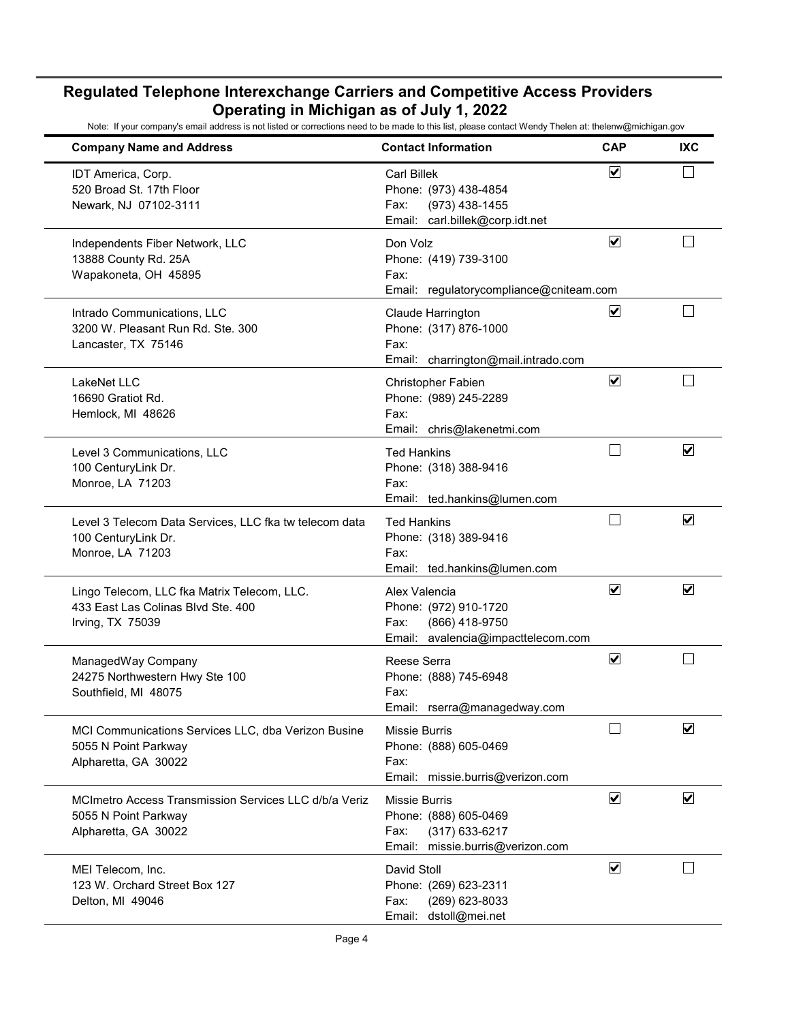| <b>Company Name and Address</b>                                                                       | <b>Contact Information</b>                                                                                    | <b>CAP</b>              | <b>IXC</b>              |
|-------------------------------------------------------------------------------------------------------|---------------------------------------------------------------------------------------------------------------|-------------------------|-------------------------|
| IDT America, Corp.<br>520 Broad St. 17th Floor<br>Newark, NJ 07102-3111                               | <b>Carl Billek</b><br>Phone: (973) 438-4854<br>(973) 438-1455<br>Fax:<br>Email: carl.billek@corp.idt.net      | $\blacktriangledown$    |                         |
| Independents Fiber Network, LLC<br>13888 County Rd. 25A<br>Wapakoneta, OH 45895                       | Don Volz<br>Phone: (419) 739-3100<br>Fax:<br>Email: regulatorycompliance@cniteam.com                          | $\overline{\mathbf{v}}$ |                         |
| Intrado Communications, LLC<br>3200 W. Pleasant Run Rd. Ste. 300<br>Lancaster, TX 75146               | Claude Harrington<br>Phone: (317) 876-1000<br>Fax:<br>Email: charrington@mail.intrado.com                     | $\overline{\mathbf{v}}$ |                         |
| LakeNet LLC<br>16690 Gratiot Rd.<br>Hemlock, MI 48626                                                 | Christopher Fabien<br>Phone: (989) 245-2289<br>Fax:<br>Email: chris@lakenetmi.com                             | $\overline{\mathbf{v}}$ |                         |
| Level 3 Communications, LLC<br>100 CenturyLink Dr.<br>Monroe, LA 71203                                | <b>Ted Hankins</b><br>Phone: (318) 388-9416<br>Fax:<br>Email: ted.hankins@lumen.com                           |                         | $\overline{\mathbf{v}}$ |
| Level 3 Telecom Data Services, LLC fka tw telecom data<br>100 CenturyLink Dr.<br>Monroe, LA 71203     | <b>Ted Hankins</b><br>Phone: (318) 389-9416<br>Fax:<br>Email: ted.hankins@lumen.com                           |                         | $\blacktriangledown$    |
| Lingo Telecom, LLC fka Matrix Telecom, LLC.<br>433 East Las Colinas Blvd Ste. 400<br>Irving, TX 75039 | Alex Valencia<br>Phone: (972) 910-1720<br>(866) 418-9750<br>Fax:<br>Email: avalencia@impacttelecom.com        | $\overline{\mathbf{v}}$ | $\overline{\mathsf{v}}$ |
| ManagedWay Company<br>24275 Northwestern Hwy Ste 100<br>Southfield, MI 48075                          | Reese Serra<br>Phone: (888) 745-6948<br>Fax:<br>Email: rserra@managedway.com                                  | $\overline{\mathbf{v}}$ |                         |
| MCI Communications Services LLC, dba Verizon Busine<br>5055 N Point Parkway<br>Alpharetta, GA 30022   | Missie Burris<br>Phone: (888) 605-0469<br>Fax:<br>Email: missie.burris@verizon.com                            |                         | ☑                       |
| MCImetro Access Transmission Services LLC d/b/a Veriz<br>5055 N Point Parkway<br>Alpharetta, GA 30022 | <b>Missie Burris</b><br>Phone: (888) 605-0469<br>Fax:<br>$(317)$ 633-6217<br>Email: missie.burris@verizon.com | $\blacktriangledown$    | $\blacktriangledown$    |
| MEI Telecom, Inc.<br>123 W. Orchard Street Box 127<br>Delton, MI 49046                                | David Stoll<br>Phone: (269) 623-2311<br>(269) 623-8033<br>Fax:<br>Email: dstoll@mei.net                       | $\blacktriangledown$    |                         |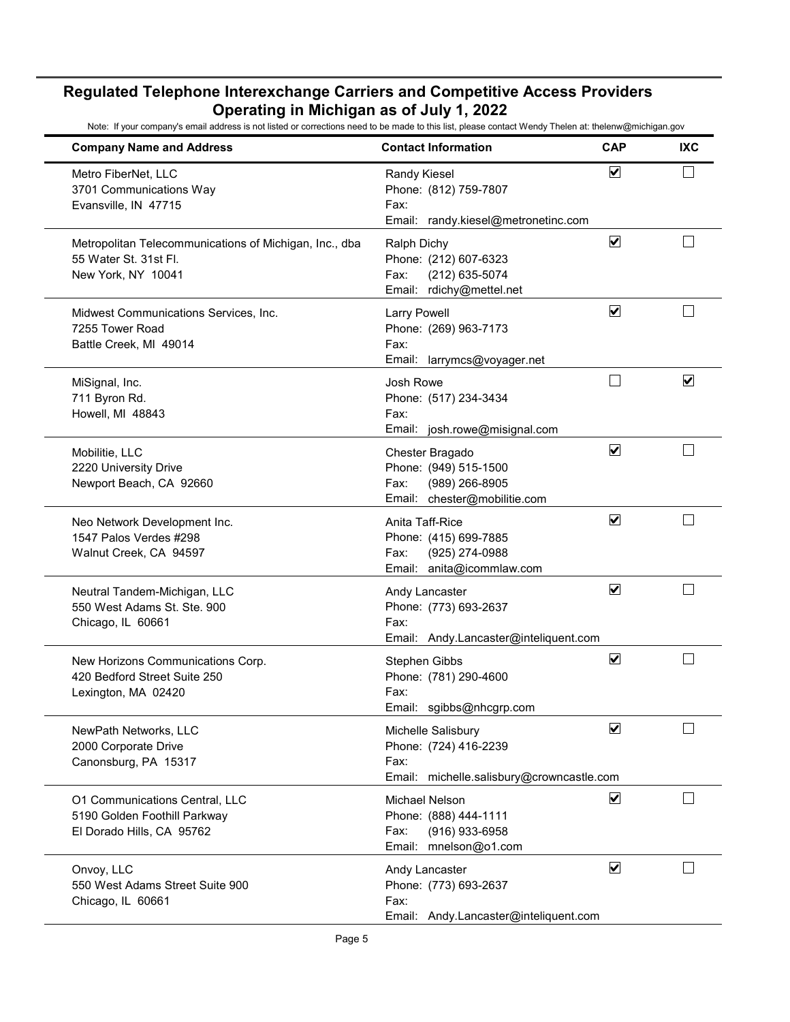| <b>Company Name and Address</b>                                                                       | <b>Contact Information</b>                                                                         | <b>CAP</b>                   | <b>IXC</b>              |
|-------------------------------------------------------------------------------------------------------|----------------------------------------------------------------------------------------------------|------------------------------|-------------------------|
| Metro FiberNet, LLC<br>3701 Communications Way<br>Evansville, IN 47715                                | Randy Kiesel<br>Phone: (812) 759-7807<br>Fax:<br>Email: randy.kiesel@metronetinc.com               | $\blacktriangledown$         |                         |
| Metropolitan Telecommunications of Michigan, Inc., dba<br>55 Water St. 31st Fl.<br>New York, NY 10041 | <b>Ralph Dichy</b><br>Phone: (212) 607-6323<br>(212) 635-5074<br>Fax:<br>Email: rdichy@mettel.net  | $\overline{\mathbf{v}}$      |                         |
| Midwest Communications Services, Inc.<br>7255 Tower Road<br>Battle Creek, MI 49014                    | <b>Larry Powell</b><br>Phone: (269) 963-7173<br>Fax:<br>Email: larrymcs@voyager.net                | ☑                            |                         |
| MiSignal, Inc.<br>711 Byron Rd.<br>Howell, MI 48843                                                   | Josh Rowe<br>Phone: (517) 234-3434<br>Fax:<br>Email: josh.rowe@misignal.com                        |                              | $\overline{\mathbf{v}}$ |
| Mobilitie, LLC<br>2220 University Drive<br>Newport Beach, CA 92660                                    | Chester Bragado<br>Phone: (949) 515-1500<br>(989) 266-8905<br>Fax:<br>Email: chester@mobilitie.com | $\blacktriangledown$         |                         |
| Neo Network Development Inc.<br>1547 Palos Verdes #298<br>Walnut Creek, CA 94597                      | Anita Taff-Rice<br>Phone: (415) 699-7885<br>(925) 274-0988<br>Fax:<br>Email: anita@icommlaw.com    | $\overline{\mathbf{v}}$      |                         |
| Neutral Tandem-Michigan, LLC<br>550 West Adams St. Ste, 900<br>Chicago, IL 60661                      | Andy Lancaster<br>Phone: (773) 693-2637<br>Fax:<br>Email: Andy.Lancaster@inteliquent.com           | $\blacktriangledown$         |                         |
| New Horizons Communications Corp.<br>420 Bedford Street Suite 250<br>Lexington, MA 02420              | Stephen Gibbs<br>Phone: (781) 290-4600<br>Fax:<br>Email: sqibbs@nhcqrp.com                         | $\boxed{\blacktriangledown}$ |                         |
| NewPath Networks, LLC<br>2000 Corporate Drive<br>Canonsburg, PA 15317                                 | Michelle Salisbury<br>Phone: (724) 416-2239<br>Fax:<br>Email: michelle.salisbury@crowncastle.com   | $\overline{\mathbf{v}}$      |                         |
| O1 Communications Central, LLC<br>5190 Golden Foothill Parkway<br>El Dorado Hills, CA 95762           | Michael Nelson<br>Phone: (888) 444-1111<br>(916) 933-6958<br>Fax:<br>Email: mnelson@o1.com         | $\blacktriangledown$         |                         |
| Onvoy, LLC<br>550 West Adams Street Suite 900<br>Chicago, IL 60661                                    | Andy Lancaster<br>Phone: (773) 693-2637<br>Fax:<br>Email: Andy.Lancaster@inteliquent.com           | $\overline{\mathbf{v}}$      |                         |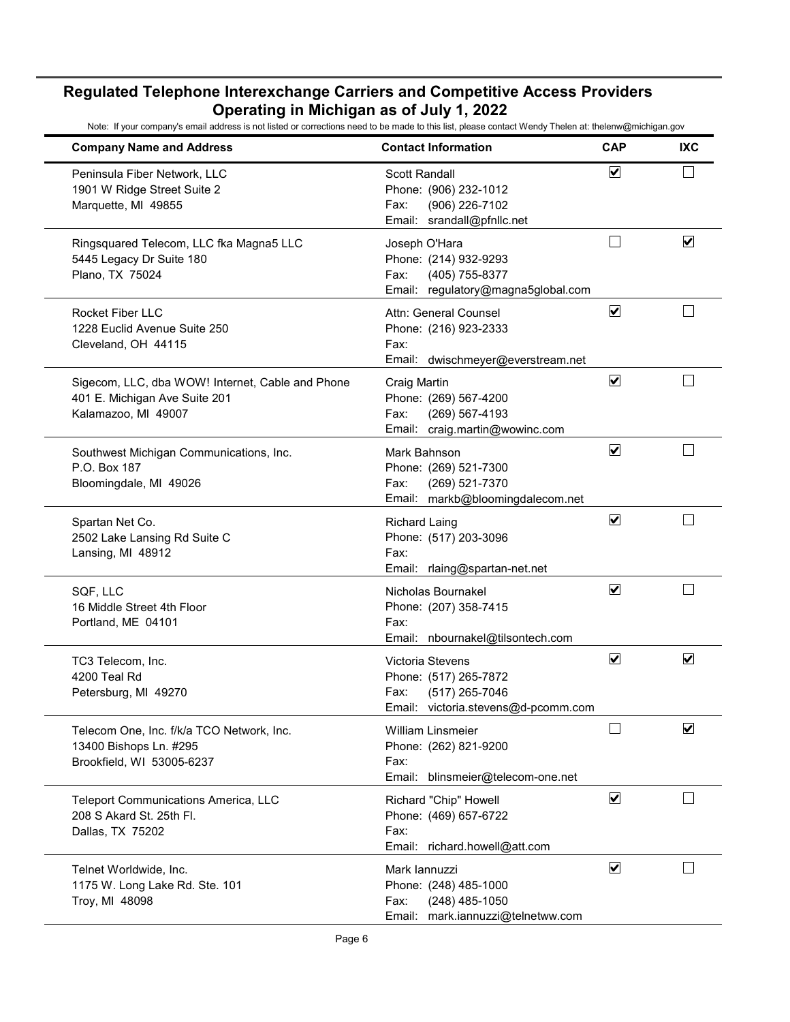| <b>Company Name and Address</b>                                                                          | <b>Contact Information</b>                                                                                 | <b>CAP</b>                      | <b>IXC</b>           |
|----------------------------------------------------------------------------------------------------------|------------------------------------------------------------------------------------------------------------|---------------------------------|----------------------|
| Peninsula Fiber Network, LLC<br>1901 W Ridge Street Suite 2<br>Marquette, MI 49855                       | Scott Randall<br>Phone: (906) 232-1012<br>(906) 226-7102<br>Fax:<br>Email: srandall@pfnllc.net             | ☑                               |                      |
| Ringsquared Telecom, LLC fka Magna5 LLC<br>5445 Legacy Dr Suite 180<br>Plano, TX 75024                   | Joseph O'Hara<br>Phone: (214) 932-9293<br>(405) 755-8377<br>Fax:<br>Email: regulatory@magna5global.com     | $\mathcal{L}$                   | $\blacktriangledown$ |
| <b>Rocket Fiber LLC</b><br>1228 Euclid Avenue Suite 250<br>Cleveland, OH 44115                           | Attn: General Counsel<br>Phone: (216) 923-2333<br>Fax:<br>Email: dwischmeyer@everstream.net                | $\overline{\mathbf{v}}$         |                      |
| Sigecom, LLC, dba WOW! Internet, Cable and Phone<br>401 E. Michigan Ave Suite 201<br>Kalamazoo, MI 49007 | Craig Martin<br>Phone: (269) 567-4200<br>Fax:<br>(269) 567-4193<br>Email: craig.martin@wowinc.com          | $\overline{\blacktriangledown}$ |                      |
| Southwest Michigan Communications, Inc.<br>P.O. Box 187<br>Bloomingdale, MI 49026                        | Mark Bahnson<br>Phone: (269) 521-7300<br>(269) 521-7370<br>Fax:<br>Email: markb@bloomingdalecom.net        | ☑                               |                      |
| Spartan Net Co.<br>2502 Lake Lansing Rd Suite C<br>Lansing, MI 48912                                     | <b>Richard Laing</b><br>Phone: (517) 203-3096<br>Fax:<br>Email: rlaing@spartan-net.net                     | $\blacktriangledown$            |                      |
| SQF, LLC<br>16 Middle Street 4th Floor<br>Portland, ME 04101                                             | Nicholas Bournakel<br>Phone: (207) 358-7415<br>Fax:<br>Email: nbournakel@tilsontech.com                    | $\blacktriangledown$            |                      |
| TC3 Telecom, Inc.<br>4200 Teal Rd<br>Petersburg, MI 49270                                                | Victoria Stevens<br>Phone: (517) 265-7872<br>(517) 265-7046<br>Fax:<br>Email: victoria.stevens@d-pcomm.com | ☑                               | ☑                    |
| Telecom One, Inc. f/k/a TCO Network, Inc.<br>13400 Bishops Ln. #295<br>Brookfield, WI 53005-6237         | <b>William Linsmeier</b><br>Phone: (262) 821-9200<br>Fax:<br>Email:<br>blinsmeier@telecom-one.net          |                                 | ☑                    |
| <b>Teleport Communications America, LLC</b><br>208 S Akard St. 25th Fl.<br>Dallas, TX 75202              | Richard "Chip" Howell<br>Phone: (469) 657-6722<br>Fax:<br>Email: richard.howell@att.com                    | $\blacktriangledown$            |                      |
| Telnet Worldwide, Inc.<br>1175 W. Long Lake Rd. Ste. 101<br>Troy, MI 48098                               | Mark lannuzzi<br>Phone: (248) 485-1000<br>$(248)$ 485-1050<br>Fax:<br>Email: mark.iannuzzi@telnetww.com    | $\blacktriangledown$            |                      |